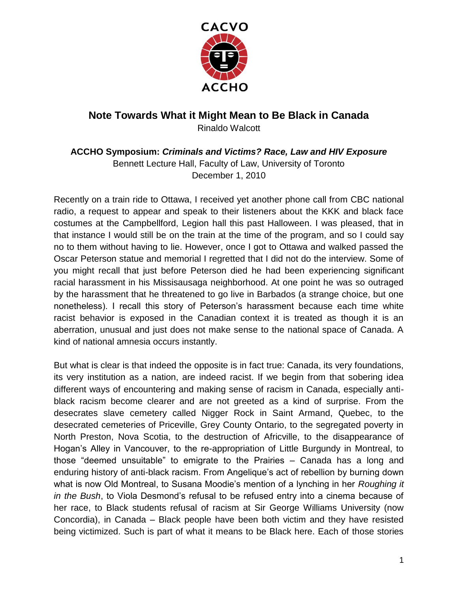

## **Note Towards What it Might Mean to Be Black in Canada** Rinaldo Walcott

**ACCHO Symposium:** *Criminals and Victims? Race, Law and HIV Exposure* Bennett Lecture Hall, Faculty of Law, University of Toronto December 1, 2010

Recently on a train ride to Ottawa, I received yet another phone call from CBC national radio, a request to appear and speak to their listeners about the KKK and black face costumes at the Campbellford, Legion hall this past Halloween. I was pleased, that in that instance I would still be on the train at the time of the program, and so I could say no to them without having to lie. However, once I got to Ottawa and walked passed the Oscar Peterson statue and memorial I regretted that I did not do the interview. Some of you might recall that just before Peterson died he had been experiencing significant racial harassment in his Missisausaga neighborhood. At one point he was so outraged by the harassment that he threatened to go live in Barbados (a strange choice, but one nonetheless). I recall this story of Peterson's harassment because each time white racist behavior is exposed in the Canadian context it is treated as though it is an aberration, unusual and just does not make sense to the national space of Canada. A kind of national amnesia occurs instantly.

But what is clear is that indeed the opposite is in fact true: Canada, its very foundations, its very institution as a nation, are indeed racist. If we begin from that sobering idea different ways of encountering and making sense of racism in Canada, especially antiblack racism become clearer and are not greeted as a kind of surprise. From the desecrates slave cemetery called Nigger Rock in Saint Armand, Quebec, to the desecrated cemeteries of Priceville, Grey County Ontario, to the segregated poverty in North Preston, Nova Scotia, to the destruction of Africville, to the disappearance of Hogan's Alley in Vancouver, to the re-appropriation of Little Burgundy in Montreal, to those "deemed unsuitable" to emigrate to the Prairies – Canada has a long and enduring history of anti-black racism. From Angelique's act of rebellion by burning down what is now Old Montreal, to Susana Moodie's mention of a lynching in her *Roughing it in the Bush*, to Viola Desmond's refusal to be refused entry into a cinema because of her race, to Black students refusal of racism at Sir George Williams University (now Concordia), in Canada – Black people have been both victim and they have resisted being victimized. Such is part of what it means to be Black here. Each of those stories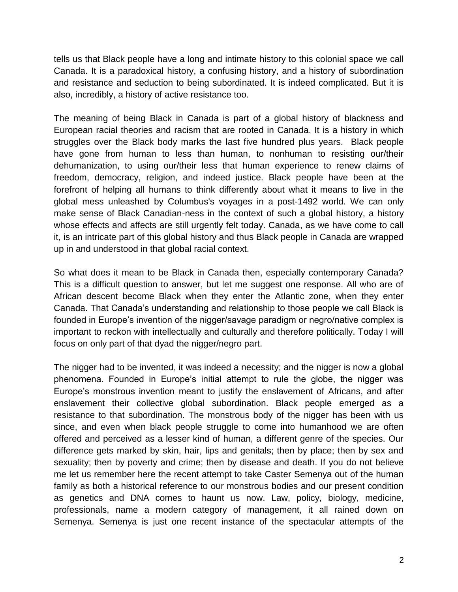tells us that Black people have a long and intimate history to this colonial space we call Canada. It is a paradoxical history, a confusing history, and a history of subordination and resistance and seduction to being subordinated. It is indeed complicated. But it is also, incredibly, a history of active resistance too.

The meaning of being Black in Canada is part of a global history of blackness and European racial theories and racism that are rooted in Canada. It is a history in which struggles over the Black body marks the last five hundred plus years. Black people have gone from human to less than human, to nonhuman to resisting our/their dehumanization, to using our/their less that human experience to renew claims of freedom, democracy, religion, and indeed justice. Black people have been at the forefront of helping all humans to think differently about what it means to live in the global mess unleashed by Columbus's voyages in a post-1492 world. We can only make sense of Black Canadian-ness in the context of such a global history, a history whose effects and affects are still urgently felt today. Canada, as we have come to call it, is an intricate part of this global history and thus Black people in Canada are wrapped up in and understood in that global racial context.

So what does it mean to be Black in Canada then, especially contemporary Canada? This is a difficult question to answer, but let me suggest one response. All who are of African descent become Black when they enter the Atlantic zone, when they enter Canada. That Canada's understanding and relationship to those people we call Black is founded in Europe's invention of the nigger/savage paradigm or negro/native complex is important to reckon with intellectually and culturally and therefore politically. Today I will focus on only part of that dyad the nigger/negro part.

The nigger had to be invented, it was indeed a necessity; and the nigger is now a global phenomena. Founded in Europe's initial attempt to rule the globe, the nigger was Europe's monstrous invention meant to justify the enslavement of Africans, and after enslavement their collective global subordination. Black people emerged as a resistance to that subordination. The monstrous body of the nigger has been with us since, and even when black people struggle to come into humanhood we are often offered and perceived as a lesser kind of human, a different genre of the species. Our difference gets marked by skin, hair, lips and genitals; then by place; then by sex and sexuality; then by poverty and crime; then by disease and death. If you do not believe me let us remember here the recent attempt to take Caster Semenya out of the human family as both a historical reference to our monstrous bodies and our present condition as genetics and DNA comes to haunt us now. Law, policy, biology, medicine, professionals, name a modern category of management, it all rained down on Semenya. Semenya is just one recent instance of the spectacular attempts of the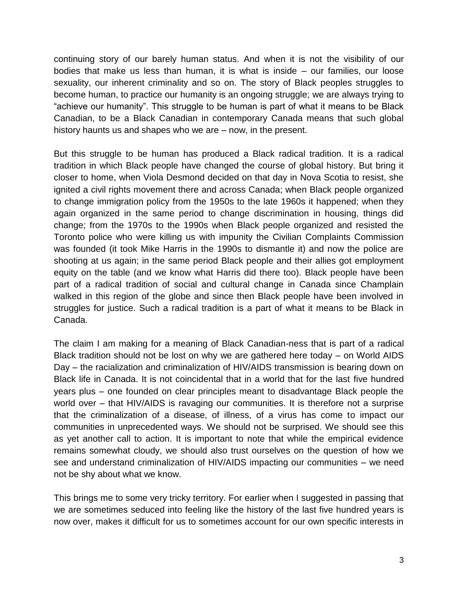continuing story of our barely human status. And when it is not the visibility of our bodies that make us less than human, it is what is inside – our families, our loose sexuality, our inherent criminality and so on. The story of Black peoples struggles to become human, to practice our humanity is an ongoing struggle; we are always trying to "achieve our humanity". This struggle to be human is part of what it means to be Black Canadian, to be a Black Canadian in contemporary Canada means that such global history haunts us and shapes who we are – now, in the present.

But this struggle to be human has produced a Black radical tradition. It is a radical tradition in which Black people have changed the course of global history. But bring it closer to home, when Viola Desmond decided on that day in Nova Scotia to resist, she ignited a civil rights movement there and across Canada; when Black people organized to change immigration policy from the 1950s to the late 1960s it happened; when they again organized in the same period to change discrimination in housing, things did change; from the 1970s to the 1990s when Black people organized and resisted the Toronto police who were killing us with impunity the Civilian Complaints Commission was founded (it took Mike Harris in the 1990s to dismantle it) and now the police are shooting at us again; in the same period Black people and their allies got employment equity on the table (and we know what Harris did there too). Black people have been part of a radical tradition of social and cultural change in Canada since Champlain walked in this region of the globe and since then Black people have been involved in struggles for justice. Such a radical tradition is a part of what it means to be Black in Canada.

The claim I am making for a meaning of Black Canadian-ness that is part of a radical Black tradition should not be lost on why we are gathered here today – on World AIDS Day – the racialization and criminalization of HIV/AIDS transmission is bearing down on Black life in Canada. It is not coincidental that in a world that for the last five hundred years plus – one founded on clear principles meant to disadvantage Black people the world over – that HIV/AIDS is ravaging our communities. It is therefore not a surprise that the criminalization of a disease, of illness, of a virus has come to impact our communities in unprecedented ways. We should not be surprised. We should see this as yet another call to action. It is important to note that while the empirical evidence remains somewhat cloudy, we should also trust ourselves on the question of how we see and understand criminalization of HIV/AIDS impacting our communities – we need not be shy about what we know.

This brings me to some very tricky territory. For earlier when I suggested in passing that we are sometimes seduced into feeling like the history of the last five hundred years is now over, makes it difficult for us to sometimes account for our own specific interests in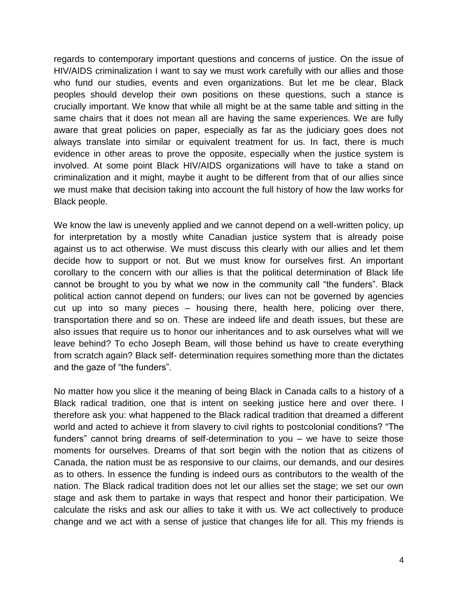regards to contemporary important questions and concerns of justice. On the issue of HIV/AIDS criminalization I want to say we must work carefully with our allies and those who fund our studies, events and even organizations. But let me be clear, Black peoples should develop their own positions on these questions, such a stance is crucially important. We know that while all might be at the same table and sitting in the same chairs that it does not mean all are having the same experiences. We are fully aware that great policies on paper, especially as far as the judiciary goes does not always translate into similar or equivalent treatment for us. In fact, there is much evidence in other areas to prove the opposite, especially when the justice system is involved. At some point Black HIV/AIDS organizations will have to take a stand on criminalization and it might, maybe it aught to be different from that of our allies since we must make that decision taking into account the full history of how the law works for Black people.

We know the law is unevenly applied and we cannot depend on a well-written policy, up for interpretation by a mostly white Canadian justice system that is already poise against us to act otherwise. We must discuss this clearly with our allies and let them decide how to support or not. But we must know for ourselves first. An important corollary to the concern with our allies is that the political determination of Black life cannot be brought to you by what we now in the community call "the funders". Black political action cannot depend on funders; our lives can not be governed by agencies cut up into so many pieces – housing there, health here, policing over there, transportation there and so on. These are indeed life and death issues, but these are also issues that require us to honor our inheritances and to ask ourselves what will we leave behind? To echo Joseph Beam, will those behind us have to create everything from scratch again? Black self- determination requires something more than the dictates and the gaze of "the funders".

No matter how you slice it the meaning of being Black in Canada calls to a history of a Black radical tradition, one that is intent on seeking justice here and over there. I therefore ask you: what happened to the Black radical tradition that dreamed a different world and acted to achieve it from slavery to civil rights to postcolonial conditions? "The funders" cannot bring dreams of self-determination to you – we have to seize those moments for ourselves. Dreams of that sort begin with the notion that as citizens of Canada, the nation must be as responsive to our claims, our demands, and our desires as to others. In essence the funding is indeed ours as contributors to the wealth of the nation. The Black radical tradition does not let our allies set the stage; we set our own stage and ask them to partake in ways that respect and honor their participation. We calculate the risks and ask our allies to take it with us. We act collectively to produce change and we act with a sense of justice that changes life for all. This my friends is